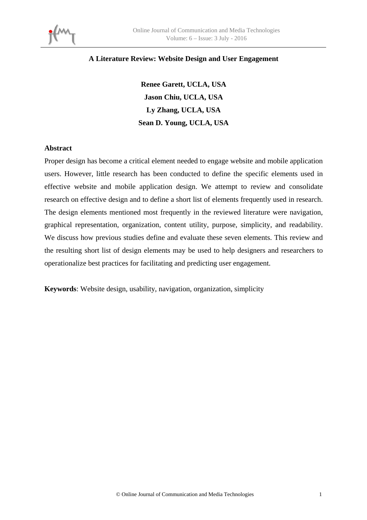

## **A Literature Review: Website Design and User Engagement**

**Renee Garett, UCLA, USA Jason Chiu, UCLA, USA Ly Zhang, UCLA, USA Sean D. Young, UCLA, USA** 

#### **Abstract**

Proper design has become a critical element needed to engage website and mobile application users. However, little research has been conducted to define the specific elements used in effective website and mobile application design. We attempt to review and consolidate research on effective design and to define a short list of elements frequently used in research. The design elements mentioned most frequently in the reviewed literature were navigation, graphical representation, organization, content utility, purpose, simplicity, and readability. We discuss how previous studies define and evaluate these seven elements. This review and the resulting short list of design elements may be used to help designers and researchers to operationalize best practices for facilitating and predicting user engagement.

**Keywords**: Website design, usability, navigation, organization, simplicity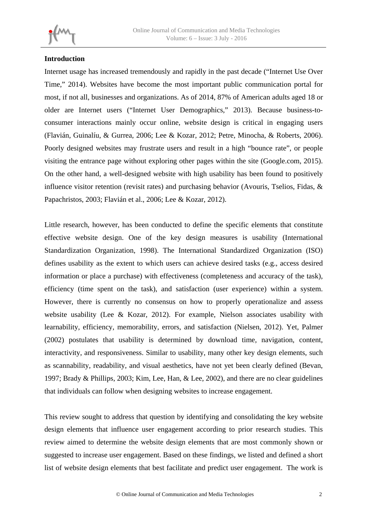# **Introduction**

Internet usage has increased tremendously and rapidly in the past decade ("Internet Use Over Time," 2014). Websites have become the most important public communication portal for most, if not all, businesses and organizations. As of 2014, 87% of American adults aged 18 or older are Internet users ("Internet User Demographics," 2013). Because business-toconsumer interactions mainly occur online, website design is critical in engaging users (Flavián, Guinalíu, & Gurrea, 2006; Lee & Kozar, 2012; Petre, Minocha, & Roberts, 2006). Poorly designed websites may frustrate users and result in a high "bounce rate", or people visiting the entrance page without exploring other pages within the site (Google.com, 2015). On the other hand, a well-designed website with high usability has been found to positively influence visitor retention (revisit rates) and purchasing behavior (Avouris, Tselios, Fidas, & Papachristos, 2003; Flavián et al., 2006; Lee & Kozar, 2012).

Little research, however, has been conducted to define the specific elements that constitute effective website design. One of the key design measures is usability (International Standardization Organization, 1998). The International Standardized Organization (ISO) defines usability as the extent to which users can achieve desired tasks (e.g., access desired information or place a purchase) with effectiveness (completeness and accuracy of the task), efficiency (time spent on the task), and satisfaction (user experience) within a system. However, there is currently no consensus on how to properly operationalize and assess website usability (Lee & Kozar, 2012). For example, Nielson associates usability with learnability, efficiency, memorability, errors, and satisfaction (Nielsen, 2012). Yet, Palmer (2002) postulates that usability is determined by download time, navigation, content, interactivity, and responsiveness. Similar to usability, many other key design elements, such as scannability, readability, and visual aesthetics, have not yet been clearly defined (Bevan, 1997; Brady & Phillips, 2003; Kim, Lee, Han, & Lee, 2002), and there are no clear guidelines that individuals can follow when designing websites to increase engagement.

This review sought to address that question by identifying and consolidating the key website design elements that influence user engagement according to prior research studies. This review aimed to determine the website design elements that are most commonly shown or suggested to increase user engagement. Based on these findings, we listed and defined a short list of website design elements that best facilitate and predict user engagement. The work is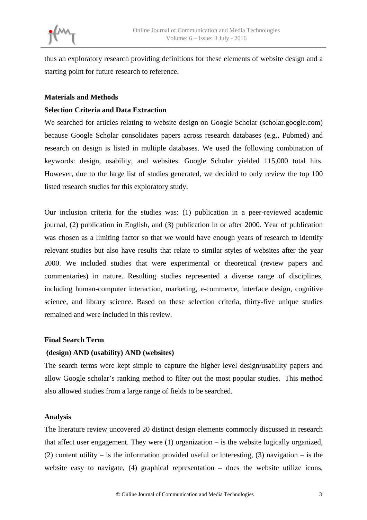

thus an exploratory research providing definitions for these elements of website design and a starting point for future research to reference.

#### **Materials and Methods**

#### **Selection Criteria and Data Extraction**

We searched for articles relating to website design on Google Scholar (scholar.google.com) because Google Scholar consolidates papers across research databases (e.g., Pubmed) and research on design is listed in multiple databases. We used the following combination of keywords: design, usability, and websites. Google Scholar yielded 115,000 total hits. However, due to the large list of studies generated, we decided to only review the top 100 listed research studies for this exploratory study.

Our inclusion criteria for the studies was: (1) publication in a peer-reviewed academic journal, (2) publication in English, and (3) publication in or after 2000. Year of publication was chosen as a limiting factor so that we would have enough years of research to identify relevant studies but also have results that relate to similar styles of websites after the year 2000. We included studies that were experimental or theoretical (review papers and commentaries) in nature. Resulting studies represented a diverse range of disciplines, including human-computer interaction, marketing, e-commerce, interface design, cognitive science, and library science. Based on these selection criteria, thirty-five unique studies remained and were included in this review.

#### **Final Search Term**

## **(design) AND (usability) AND (websites)**

The search terms were kept simple to capture the higher level design/usability papers and allow Google scholar's ranking method to filter out the most popular studies. This method also allowed studies from a large range of fields to be searched.

## **Analysis**

The literature review uncovered 20 distinct design elements commonly discussed in research that affect user engagement. They were (1) organization – is the website logically organized, (2) content utility – is the information provided useful or interesting, (3) navigation – is the website easy to navigate, (4) graphical representation – does the website utilize icons,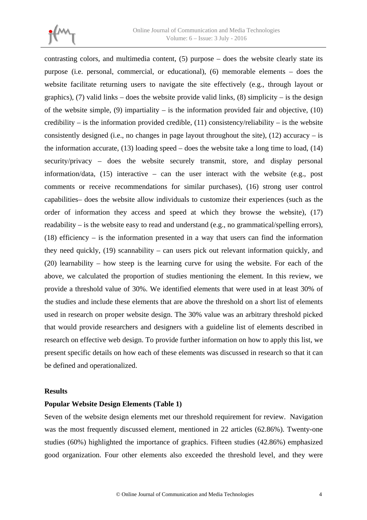

contrasting colors, and multimedia content, (5) purpose – does the website clearly state its purpose (i.e. personal, commercial, or educational), (6) memorable elements – does the website facilitate returning users to navigate the site effectively (e.g., through layout or graphics), (7) valid links – does the website provide valid links, (8) simplicity – is the design of the website simple,  $(9)$  impartiality – is the information provided fair and objective,  $(10)$ credibility – is the information provided credible,  $(11)$  consistency/reliability – is the website consistently designed (i.e., no changes in page layout throughout the site),  $(12)$  accuracy – is the information accurate,  $(13)$  loading speed – does the website take a long time to load,  $(14)$ security/privacy – does the website securely transmit, store, and display personal information/data, (15) interactive – can the user interact with the website (e.g., post comments or receive recommendations for similar purchases), (16) strong user control capabilities– does the website allow individuals to customize their experiences (such as the order of information they access and speed at which they browse the website), (17) readability – is the website easy to read and understand (e.g., no grammatical/spelling errors), (18) efficiency – is the information presented in a way that users can find the information they need quickly, (19) scannability – can users pick out relevant information quickly, and (20) learnability – how steep is the learning curve for using the website. For each of the above, we calculated the proportion of studies mentioning the element. In this review, we provide a threshold value of 30%. We identified elements that were used in at least 30% of the studies and include these elements that are above the threshold on a short list of elements used in research on proper website design. The 30% value was an arbitrary threshold picked that would provide researchers and designers with a guideline list of elements described in research on effective web design. To provide further information on how to apply this list, we present specific details on how each of these elements was discussed in research so that it can be defined and operationalized.

#### **Results**

## **Popular Website Design Elements (Table 1)**

Seven of the website design elements met our threshold requirement for review. Navigation was the most frequently discussed element, mentioned in 22 articles (62.86%). Twenty-one studies (60%) highlighted the importance of graphics. Fifteen studies (42.86%) emphasized good organization. Four other elements also exceeded the threshold level, and they were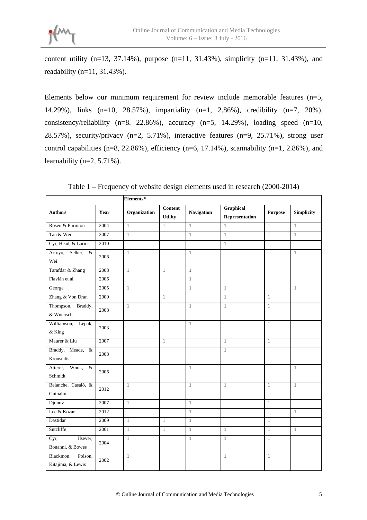content utility  $(n=13, 37.14\%)$ , purpose  $(n=11, 31.43\%)$ , simplicity  $(n=11, 31.43\%)$ , and readability (n=11, 31.43%).

Elements below our minimum requirement for review include memorable features (n=5, 14.29%), links (n=10, 28.57%), impartiality (n=1, 2.86%), credibility (n=7, 20%), consistency/reliability (n=8. 22.86%), accuracy (n=5, 14.29%), loading speed (n=10, 28.57%), security/privacy  $(n=2, 5.71\%)$ , interactive features  $(n=9, 25.71\%)$ , strong user control capabilities (n=8, 22.86%), efficiency (n=6, 17.14%), scannability (n=1, 2.86%), and learnability ( $n=2$ , 5.71%).

|                                           |      | Elements*    |                                  |                   |                                    |                |                   |  |
|-------------------------------------------|------|--------------|----------------------------------|-------------------|------------------------------------|----------------|-------------------|--|
| <b>Authors</b>                            | Year | Organization | <b>Content</b><br><b>Utility</b> | <b>Navigation</b> | <b>Graphical</b><br>Representation | <b>Purpose</b> | <b>Simplicity</b> |  |
| Rosen & Purinton                          | 2004 | $\mathbf{1}$ | $\mathbf{1}$                     | $\mathbf{1}$      | $\overline{1}$                     | $\mathbf{1}$   | $\mathbf{1}$      |  |
| Tan & Wei                                 | 2007 | $\mathbf{1}$ |                                  | $\mathbf{1}$      | $\mathbf{1}$                       | $\mathbf{1}$   | $\mathbf{1}$      |  |
| Cyr, Head, & Larios                       | 2010 |              |                                  |                   | $\mathbf{1}$                       |                |                   |  |
| Arroyo,<br>Selker, &<br>Wei               | 2006 | $\mathbf{1}$ |                                  | $\mathbf{1}$      |                                    |                | $\mathbf{1}$      |  |
| Tarafdar & Zhang                          | 2008 | $\mathbf{1}$ | $\mathbf{1}$                     | $\mathbf{1}$      |                                    |                |                   |  |
| Flavián et al.                            | 2006 |              |                                  | $\mathbf{1}$      |                                    |                |                   |  |
| George                                    | 2005 | $\mathbf{1}$ |                                  | $\mathbf{1}$      | $\mathbf{1}$                       |                | $\mathbf{1}$      |  |
| Zhang & Von Dran                          | 2000 |              | $\mathbf{1}$                     |                   | $\mathbf{1}$                       | $\mathbf{1}$   |                   |  |
| Thompson,<br>Braddy,<br>& Wuensch         | 2008 | $\mathbf{1}$ |                                  | $\mathbf{1}$      | $\mathbf{1}$                       | $\mathbf{1}$   |                   |  |
| Williamson,<br>Lepak,<br>& King           | 2003 |              |                                  | $\mathbf{1}$      |                                    | $\mathbf{1}$   |                   |  |
| Maurer & Liu                              | 2007 |              | $\mathbf{1}$                     |                   | $\mathbf{1}$                       | $\mathbf{1}$   |                   |  |
| Braddy, Meade, &<br>Kroustalis            | 2008 |              |                                  |                   | $\overline{1}$                     |                |                   |  |
| Atterer,<br>Wnuk,<br>$\&$<br>Schmidt      | 2006 |              |                                  | $\mathbf{1}$      |                                    |                | $\mathbf{1}$      |  |
| Belanche, Casaló, &<br>Guinalíu           | 2012 | $\mathbf{1}$ |                                  | $\mathbf{1}$      | $\mathbf{1}$                       | $\mathbf{1}$   | $\mathbf{1}$      |  |
| Djonov                                    | 2007 | $\mathbf{1}$ |                                  | $\mathbf{1}$      |                                    | $\mathbf{1}$   |                   |  |
| Lee & Kozar                               | 2012 |              |                                  | $\mathbf{1}$      |                                    |                | $\mathbf{1}$      |  |
| Dastidar                                  | 2009 | $\mathbf{1}$ | $\mathbf{1}$                     | $\mathbf{1}$      |                                    | $\mathbf{1}$   |                   |  |
| Sutcliffe                                 | 2001 | $\mathbf{1}$ | $\mathbf{1}$                     | $\mathbf{1}$      | $\mathbf{1}$                       | $\mathbf{1}$   | $\mathbf{1}$      |  |
| Ilsever,<br>Cyr,<br>Bonanni, & Bowes      | 2004 | $\mathbf{1}$ |                                  | $\mathbf{1}$      | $\mathbf{1}$                       | $\mathbf{1}$   |                   |  |
| Blackmon,<br>Polson,<br>Kitajima, & Lewis | 2002 | $\mathbf{1}$ |                                  |                   | $\mathbf{1}$                       | $\mathbf{1}$   |                   |  |

Table 1 – Frequency of website design elements used in research (2000-2014)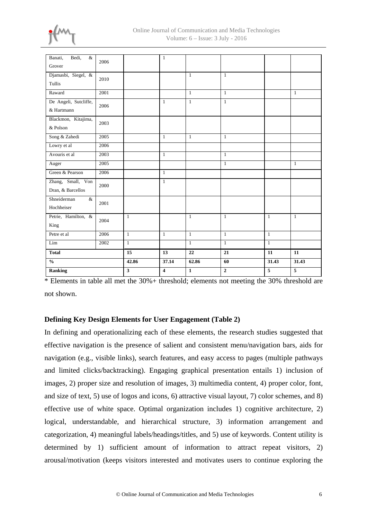

| Bedi,<br>Banati,<br>$\&$ | 2006 |                         | $\mathbf{1}$            |                 |              |                 |                 |
|--------------------------|------|-------------------------|-------------------------|-----------------|--------------|-----------------|-----------------|
| Grover                   |      |                         |                         |                 |              |                 |                 |
| Djamasbi, Siegel, &      | 2010 |                         |                         | $\mathbf{1}$    | $\mathbf{1}$ |                 |                 |
| Tullis                   |      |                         |                         |                 |              |                 |                 |
| Raward                   | 2001 |                         |                         | $\mathbf{1}$    | $\mathbf{1}$ |                 | $\mathbf{1}$    |
| De Angeli, Sutcliffe,    | 2006 |                         | $\mathbf{1}$            | $\mathbf{1}$    | $\mathbf{1}$ |                 |                 |
| & Hartmann               |      |                         |                         |                 |              |                 |                 |
| Blackmon, Kitajima,      | 2003 |                         |                         |                 |              |                 |                 |
| & Polson                 |      |                         |                         |                 |              |                 |                 |
| Song & Zahedi            | 2005 |                         | $\mathbf{1}$            | $\mathbf{1}$    | $\mathbf{1}$ |                 |                 |
| Lowry et al              | 2006 |                         |                         |                 |              |                 |                 |
| Avouris et al            | 2003 |                         | $\mathbf{1}$            |                 | $\mathbf{1}$ |                 |                 |
| Auger                    | 2005 |                         |                         |                 | $\mathbf{1}$ |                 | $\mathbf{1}$    |
| Green & Pearson          | 2006 |                         | $\mathbf{1}$            |                 |              |                 |                 |
| Zhang, Small, Von        | 2000 |                         | $\mathbf{1}$            |                 |              |                 |                 |
| Dran, & Barcellos        |      |                         |                         |                 |              |                 |                 |
| Shneiderman<br>$\&$      | 2001 |                         |                         |                 |              |                 |                 |
| Hochheiser               |      |                         |                         |                 |              |                 |                 |
| Petrie, Hamilton, &      | 2004 | $\mathbf{1}$            |                         | $\mathbf{1}$    | $\mathbf{1}$ | $\mathbf{1}$    | $\mathbf{1}$    |
| King                     |      |                         |                         |                 |              |                 |                 |
| Petre et al              | 2006 | $\mathbf{1}$            | $\mathbf{1}$            | $\mathbf{1}$    | $\mathbf{1}$ | $\mathbf{1}$    |                 |
| Lim                      | 2002 | $\mathbf{1}$            |                         | $\mathbf{1}$    | $\mathbf{1}$ | $\mathbf{1}$    |                 |
| <b>Total</b>             |      | $\overline{15}$         | 13                      | $\overline{22}$ | 21           | $\overline{11}$ | $\overline{11}$ |
| $\frac{0}{0}$            |      | 42.86                   | 37.14                   | 62.86           | 60           | 31.43           | 31.43           |
| <b>Ranking</b>           |      | $\overline{\mathbf{3}}$ | $\overline{\mathbf{4}}$ | $\mathbf{1}$    | $\mathbf 2$  | $\sqrt{5}$      | $\sqrt{5}$      |

\* Elements in table all met the 30%+ threshold; elements not meeting the 30% threshold are not shown.

# **Defining Key Design Elements for User Engagement (Table 2)**

In defining and operationalizing each of these elements, the research studies suggested that effective navigation is the presence of salient and consistent menu/navigation bars, aids for navigation (e.g., visible links), search features, and easy access to pages (multiple pathways and limited clicks/backtracking). Engaging graphical presentation entails 1) inclusion of images, 2) proper size and resolution of images, 3) multimedia content, 4) proper color, font, and size of text, 5) use of logos and icons, 6) attractive visual layout, 7) color schemes, and 8) effective use of white space. Optimal organization includes 1) cognitive architecture, 2) logical, understandable, and hierarchical structure, 3) information arrangement and categorization, 4) meaningful labels/headings/titles, and 5) use of keywords. Content utility is determined by 1) sufficient amount of information to attract repeat visitors, 2) arousal/motivation (keeps visitors interested and motivates users to continue exploring the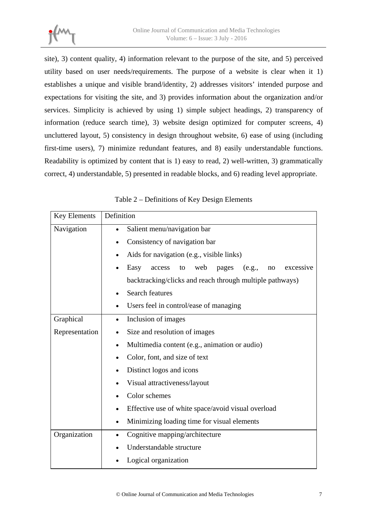site), 3) content quality, 4) information relevant to the purpose of the site, and 5) perceived utility based on user needs/requirements. The purpose of a website is clear when it 1) establishes a unique and visible brand/identity, 2) addresses visitors' intended purpose and expectations for visiting the site, and 3) provides information about the organization and/or services. Simplicity is achieved by using 1) simple subject headings, 2) transparency of information (reduce search time), 3) website design optimized for computer screens, 4) uncluttered layout, 5) consistency in design throughout website, 6) ease of using (including first-time users), 7) minimize redundant features, and 8) easily understandable functions. Readability is optimized by content that is 1) easy to read, 2) well-written, 3) grammatically correct, 4) understandable, 5) presented in readable blocks, and 6) reading level appropriate.

| <b>Key Elements</b> | Definition                                                        |  |  |  |  |  |
|---------------------|-------------------------------------------------------------------|--|--|--|--|--|
| Navigation          | Salient menu/navigation bar                                       |  |  |  |  |  |
|                     | Consistency of navigation bar                                     |  |  |  |  |  |
|                     | Aids for navigation (e.g., visible links)                         |  |  |  |  |  |
|                     | Easy<br>access<br>web<br>to<br>pages<br>(e.g.,<br>excessive<br>no |  |  |  |  |  |
|                     | backtracking/clicks and reach through multiple pathways)          |  |  |  |  |  |
|                     | <b>Search features</b><br>$\bullet$                               |  |  |  |  |  |
|                     | Users feel in control/ease of managing                            |  |  |  |  |  |
| Graphical           | Inclusion of images                                               |  |  |  |  |  |
| Representation      | Size and resolution of images                                     |  |  |  |  |  |
|                     | Multimedia content (e.g., animation or audio)<br>$\bullet$        |  |  |  |  |  |
|                     | Color, font, and size of text                                     |  |  |  |  |  |
|                     | Distinct logos and icons                                          |  |  |  |  |  |
|                     | Visual attractiveness/layout                                      |  |  |  |  |  |
|                     | Color schemes                                                     |  |  |  |  |  |
|                     | Effective use of white space/avoid visual overload                |  |  |  |  |  |
|                     | Minimizing loading time for visual elements<br>$\bullet$          |  |  |  |  |  |
| Organization        | Cognitive mapping/architecture                                    |  |  |  |  |  |
|                     | Understandable structure                                          |  |  |  |  |  |
|                     | Logical organization                                              |  |  |  |  |  |

Table 2 – Definitions of Key Design Elements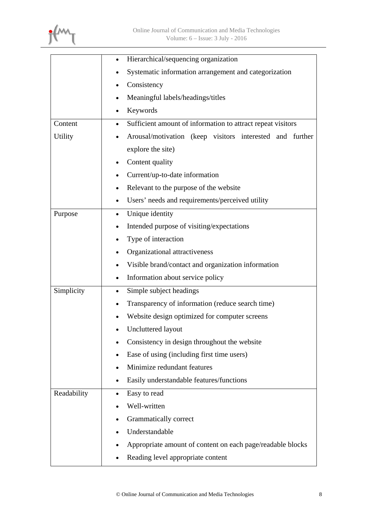

|             | Hierarchical/sequencing organization                                     |  |  |  |
|-------------|--------------------------------------------------------------------------|--|--|--|
|             | Systematic information arrangement and categorization                    |  |  |  |
|             | Consistency                                                              |  |  |  |
|             | Meaningful labels/headings/titles                                        |  |  |  |
|             | Keywords                                                                 |  |  |  |
| Content     | Sufficient amount of information to attract repeat visitors<br>$\bullet$ |  |  |  |
| Utility     | Arousal/motivation (keep visitors interested and further                 |  |  |  |
|             | explore the site)                                                        |  |  |  |
|             | Content quality                                                          |  |  |  |
|             | Current/up-to-date information<br>٠                                      |  |  |  |
|             | Relevant to the purpose of the website                                   |  |  |  |
|             | Users' needs and requirements/perceived utility                          |  |  |  |
| Purpose     | Unique identity<br>$\bullet$                                             |  |  |  |
|             | Intended purpose of visiting/expectations<br>٠                           |  |  |  |
|             | Type of interaction                                                      |  |  |  |
|             | Organizational attractiveness                                            |  |  |  |
|             | Visible brand/contact and organization information                       |  |  |  |
|             | Information about service policy<br>$\bullet$                            |  |  |  |
| Simplicity  | Simple subject headings                                                  |  |  |  |
|             | Transparency of information (reduce search time)                         |  |  |  |
|             | Website design optimized for computer screens                            |  |  |  |
|             | Uncluttered layout                                                       |  |  |  |
|             | Consistency in design throughout the website                             |  |  |  |
|             | Ease of using (including first time users)                               |  |  |  |
|             | Minimize redundant features                                              |  |  |  |
|             | Easily understandable features/functions                                 |  |  |  |
| Readability | Easy to read<br>$\bullet$                                                |  |  |  |
|             | Well-written                                                             |  |  |  |
|             | Grammatically correct                                                    |  |  |  |
|             | Understandable                                                           |  |  |  |
|             | Appropriate amount of content on each page/readable blocks               |  |  |  |
|             | Reading level appropriate content                                        |  |  |  |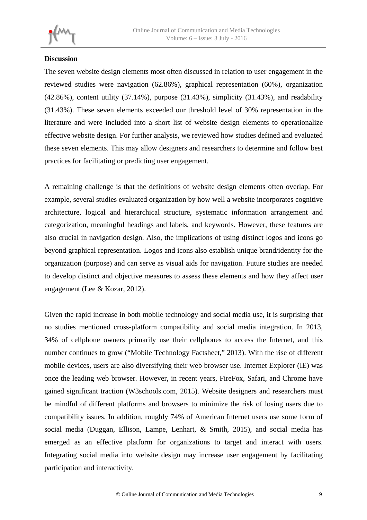# **Discussion**

The seven website design elements most often discussed in relation to user engagement in the reviewed studies were navigation (62.86%), graphical representation (60%), organization (42.86%), content utility (37.14%), purpose (31.43%), simplicity (31.43%), and readability (31.43%). These seven elements exceeded our threshold level of 30% representation in the literature and were included into a short list of website design elements to operationalize effective website design. For further analysis, we reviewed how studies defined and evaluated these seven elements. This may allow designers and researchers to determine and follow best practices for facilitating or predicting user engagement.

A remaining challenge is that the definitions of website design elements often overlap. For example, several studies evaluated organization by how well a website incorporates cognitive architecture, logical and hierarchical structure, systematic information arrangement and categorization, meaningful headings and labels, and keywords. However, these features are also crucial in navigation design. Also, the implications of using distinct logos and icons go beyond graphical representation. Logos and icons also establish unique brand/identity for the organization (purpose) and can serve as visual aids for navigation. Future studies are needed to develop distinct and objective measures to assess these elements and how they affect user engagement (Lee & Kozar, 2012).

Given the rapid increase in both mobile technology and social media use, it is surprising that no studies mentioned cross-platform compatibility and social media integration. In 2013, 34% of cellphone owners primarily use their cellphones to access the Internet, and this number continues to grow ("Mobile Technology Factsheet," 2013). With the rise of different mobile devices, users are also diversifying their web browser use. Internet Explorer (IE) was once the leading web browser. However, in recent years, FireFox, Safari, and Chrome have gained significant traction (W3schools.com, 2015). Website designers and researchers must be mindful of different platforms and browsers to minimize the risk of losing users due to compatibility issues. In addition, roughly 74% of American Internet users use some form of social media (Duggan, Ellison, Lampe, Lenhart, & Smith, 2015), and social media has emerged as an effective platform for organizations to target and interact with users. Integrating social media into website design may increase user engagement by facilitating participation and interactivity.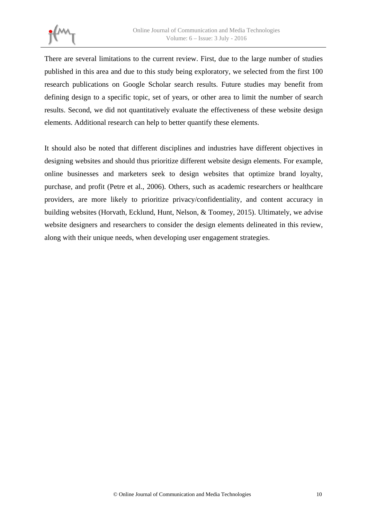

There are several limitations to the current review. First, due to the large number of studies published in this area and due to this study being exploratory, we selected from the first 100 research publications on Google Scholar search results. Future studies may benefit from defining design to a specific topic, set of years, or other area to limit the number of search results. Second, we did not quantitatively evaluate the effectiveness of these website design elements. Additional research can help to better quantify these elements.

It should also be noted that different disciplines and industries have different objectives in designing websites and should thus prioritize different website design elements. For example, online businesses and marketers seek to design websites that optimize brand loyalty, purchase, and profit (Petre et al., 2006). Others, such as academic researchers or healthcare providers, are more likely to prioritize privacy/confidentiality, and content accuracy in building websites (Horvath, Ecklund, Hunt, Nelson, & Toomey, 2015). Ultimately, we advise website designers and researchers to consider the design elements delineated in this review, along with their unique needs, when developing user engagement strategies.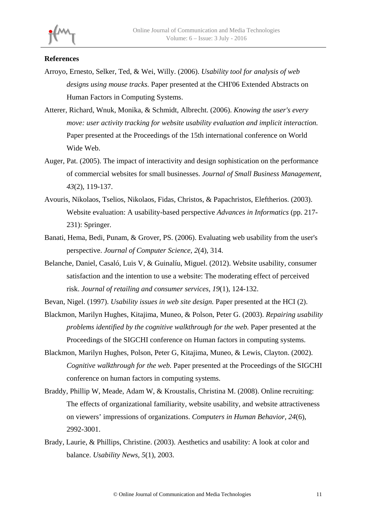## **References**

- Arroyo, Ernesto, Selker, Ted, & Wei, Willy. (2006). *Usability tool for analysis of web designs using mouse tracks.* Paper presented at the CHI'06 Extended Abstracts on Human Factors in Computing Systems.
- Atterer, Richard, Wnuk, Monika, & Schmidt, Albrecht. (2006). *Knowing the user's every move: user activity tracking for website usability evaluation and implicit interaction.* Paper presented at the Proceedings of the 15th international conference on World Wide Web.
- Auger, Pat. (2005). The impact of interactivity and design sophistication on the performance of commercial websites for small businesses. *Journal of Small Business Management, 43*(2), 119-137.
- Avouris, Nikolaos, Tselios, Nikolaos, Fidas, Christos, & Papachristos, Eleftherios. (2003). Website evaluation: A usability-based perspective *Advances in Informatics* (pp. 217- 231): Springer.
- Banati, Hema, Bedi, Punam, & Grover, PS. (2006). Evaluating web usability from the user's perspective. *Journal of Computer Science, 2*(4), 314.
- Belanche, Daniel, Casaló, Luis V, & Guinalíu, Miguel. (2012). Website usability, consumer satisfaction and the intention to use a website: The moderating effect of perceived risk. *Journal of retailing and consumer services, 19*(1), 124-132.
- Bevan, Nigel. (1997). *Usability issues in web site design.* Paper presented at the HCI (2).
- Blackmon, Marilyn Hughes, Kitajima, Muneo, & Polson, Peter G. (2003). *Repairing usability problems identified by the cognitive walkthrough for the web.* Paper presented at the Proceedings of the SIGCHI conference on Human factors in computing systems.
- Blackmon, Marilyn Hughes, Polson, Peter G, Kitajima, Muneo, & Lewis, Clayton. (2002). *Cognitive walkthrough for the web.* Paper presented at the Proceedings of the SIGCHI conference on human factors in computing systems.
- Braddy, Phillip W, Meade, Adam W, & Kroustalis, Christina M. (2008). Online recruiting: The effects of organizational familiarity, website usability, and website attractiveness on viewers' impressions of organizations. *Computers in Human Behavior, 24*(6), 2992-3001.
- Brady, Laurie, & Phillips, Christine. (2003). Aesthetics and usability: A look at color and balance. *Usability News, 5*(1), 2003.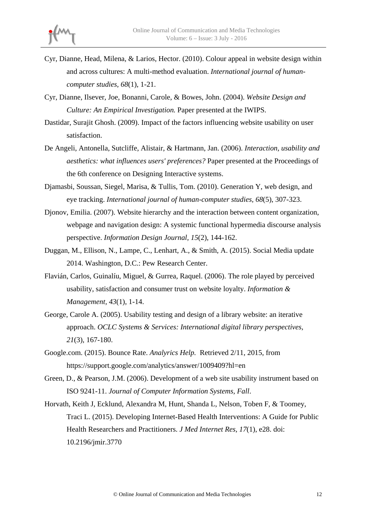- Cyr, Dianne, Head, Milena, & Larios, Hector. (2010). Colour appeal in website design within and across cultures: A multi-method evaluation. *International journal of humancomputer studies, 68*(1), 1-21.
- Cyr, Dianne, Ilsever, Joe, Bonanni, Carole, & Bowes, John. (2004). *Website Design and Culture: An Empirical Investigation.* Paper presented at the IWIPS.
- Dastidar, Surajit Ghosh. (2009). Impact of the factors influencing website usability on user satisfaction.
- De Angeli, Antonella, Sutcliffe, Alistair, & Hartmann, Jan. (2006). *Interaction, usability and aesthetics: what influences users' preferences?* Paper presented at the Proceedings of the 6th conference on Designing Interactive systems.
- Djamasbi, Soussan, Siegel, Marisa, & Tullis, Tom. (2010). Generation Y, web design, and eye tracking. *International journal of human-computer studies, 68*(5), 307-323.
- Djonov, Emilia. (2007). Website hierarchy and the interaction between content organization, webpage and navigation design: A systemic functional hypermedia discourse analysis perspective. *Information Design Journal, 15*(2), 144-162.
- Duggan, M., Ellison, N., Lampe, C., Lenhart, A., & Smith, A. (2015). Social Media update 2014. Washington, D.C.: Pew Research Center.
- Flavián, Carlos, Guinalíu, Miguel, & Gurrea, Raquel. (2006). The role played by perceived usability, satisfaction and consumer trust on website loyalty. *Information & Management, 43*(1), 1-14.
- George, Carole A. (2005). Usability testing and design of a library website: an iterative approach. *OCLC Systems & Services: International digital library perspectives, 21*(3), 167-180.
- Google.com. (2015). Bounce Rate. *Analyrics Help.* Retrieved 2/11, 2015, from https://support.google.com/analytics/answer/1009409?hl=en
- Green, D., & Pearson, J.M. (2006). Development of a web site usability instrument based on ISO 9241-11. *Journal of Computer Information Systems, Fall*.
- Horvath, Keith J, Ecklund, Alexandra M, Hunt, Shanda L, Nelson, Toben F, & Toomey, Traci L. (2015). Developing Internet-Based Health Interventions: A Guide for Public Health Researchers and Practitioners. *J Med Internet Res, 17*(1), e28. doi: 10.2196/jmir.3770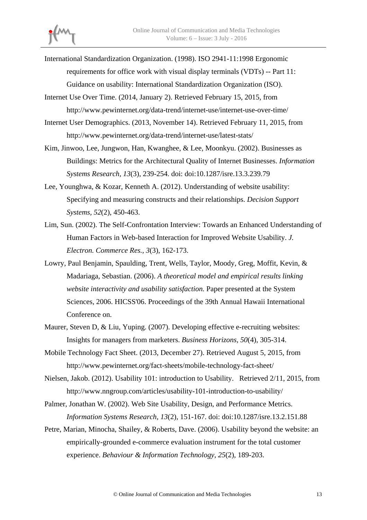

- International Standardization Organization. (1998). ISO 2941-11:1998 Ergonomic requirements for office work with visual display terminals (VDTs) -- Part 11: Guidance on usability: International Standardization Organization (ISO).
- Internet Use Over Time. (2014, January 2). Retrieved February 15, 2015, from http://www.pewinternet.org/data-trend/internet-use/internet-use-over-time/
- Internet User Demographics. (2013, November 14). Retrieved February 11, 2015, from http://www.pewinternet.org/data-trend/internet-use/latest-stats/
- Kim, Jinwoo, Lee, Jungwon, Han, Kwanghee, & Lee, Moonkyu. (2002). Businesses as Buildings: Metrics for the Architectural Quality of Internet Businesses. *Information Systems Research, 13*(3), 239-254. doi: doi:10.1287/isre.13.3.239.79
- Lee, Younghwa, & Kozar, Kenneth A. (2012). Understanding of website usability: Specifying and measuring constructs and their relationships. *Decision Support Systems, 52*(2), 450-463.
- Lim, Sun. (2002). The Self-Confrontation Interview: Towards an Enhanced Understanding of Human Factors in Web-based Interaction for Improved Website Usability. *J. Electron. Commerce Res., 3*(3), 162-173.
- Lowry, Paul Benjamin, Spaulding, Trent, Wells, Taylor, Moody, Greg, Moffit, Kevin, & Madariaga, Sebastian. (2006). *A theoretical model and empirical results linking website interactivity and usability satisfaction.* Paper presented at the System Sciences, 2006. HICSS'06. Proceedings of the 39th Annual Hawaii International Conference on.
- Maurer, Steven D, & Liu, Yuping. (2007). Developing effective e-recruiting websites: Insights for managers from marketers. *Business Horizons, 50*(4), 305-314.
- Mobile Technology Fact Sheet. (2013, December 27). Retrieved August 5, 2015, from http://www.pewinternet.org/fact-sheets/mobile-technology-fact-sheet/
- Nielsen, Jakob. (2012). Usability 101: introduction to Usability. Retrieved 2/11, 2015, from http://www.nngroup.com/articles/usability-101-introduction-to-usability/
- Palmer, Jonathan W. (2002). Web Site Usability, Design, and Performance Metrics. *Information Systems Research, 13*(2), 151-167. doi: doi:10.1287/isre.13.2.151.88
- Petre, Marian, Minocha, Shailey, & Roberts, Dave. (2006). Usability beyond the website: an empirically-grounded e-commerce evaluation instrument for the total customer experience. *Behaviour & Information Technology, 25*(2), 189-203.